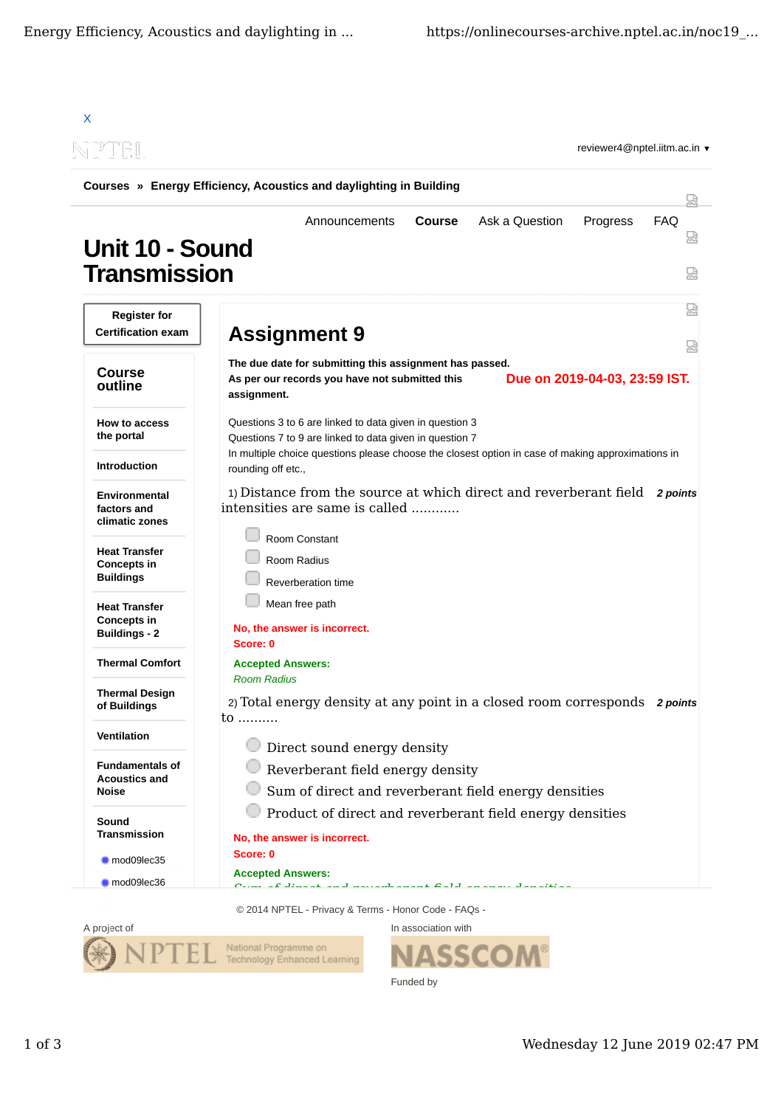| N PTEL                                                             | reviewer4@nptel.iitm.ac.in ▼                                                                                                                              |
|--------------------------------------------------------------------|-----------------------------------------------------------------------------------------------------------------------------------------------------------|
|                                                                    | Courses » Energy Efficiency, Acoustics and daylighting in Building                                                                                        |
| Unit 10 - Sound<br><b>Transmission</b>                             | <b>FAQ</b><br><b>Course</b><br>Ask a Question<br>Progress<br>Announcements                                                                                |
| <b>Register for</b><br><b>Certification exam</b>                   |                                                                                                                                                           |
|                                                                    | <b>Assignment 9</b>                                                                                                                                       |
| <b>Course</b><br>outline                                           | The due date for submitting this assignment has passed.<br>Due on 2019-04-03, 23:59 IST.<br>As per our records you have not submitted this<br>assignment. |
| <b>How to access</b><br>the portal                                 | Questions 3 to 6 are linked to data given in question 3<br>Questions 7 to 9 are linked to data given in question 7                                        |
| <b>Introduction</b>                                                | In multiple choice questions please choose the closest option in case of making approximations in<br>rounding off etc.,                                   |
| Environmental<br>factors and<br>climatic zones                     | 1) Distance from the source at which direct and reverberant field 2 points<br>intensities are same is called                                              |
| <b>Heat Transfer</b><br><b>Concepts in</b><br><b>Buildings</b>     | Room Constant<br>Room Radius<br>Reverberation time                                                                                                        |
| <b>Heat Transfer</b><br><b>Concepts in</b><br><b>Buildings - 2</b> | Mean free path<br>No, the answer is incorrect.<br>Score: 0                                                                                                |
| <b>Thermal Comfort</b>                                             | <b>Accepted Answers:</b>                                                                                                                                  |
| Thermal Design<br>of Buildings                                     | <b>Room Radius</b><br>2) Total energy density at any point in a closed room corresponds 2 points<br>$\mathsf{to}$                                         |
| Ventilation                                                        | <b>Direct sound energy density</b>                                                                                                                        |
| <b>Fundamentals of</b><br><b>Acoustics and</b><br><b>Noise</b>     | Reverberant field energy density<br>Sum of direct and reverberant field energy densities                                                                  |
| Sound<br><b>Transmission</b>                                       | Product of direct and reverberant field energy densities<br>No, the answer is incorrect.                                                                  |
| mod09lec35                                                         | Score: 0                                                                                                                                                  |
| mod09lec36                                                         | <b>Accepted Answers:</b>                                                                                                                                  |

14 NPTEL - Privacy & Terms - Honor Code - FAQs



In association with **SSCOM** Funded by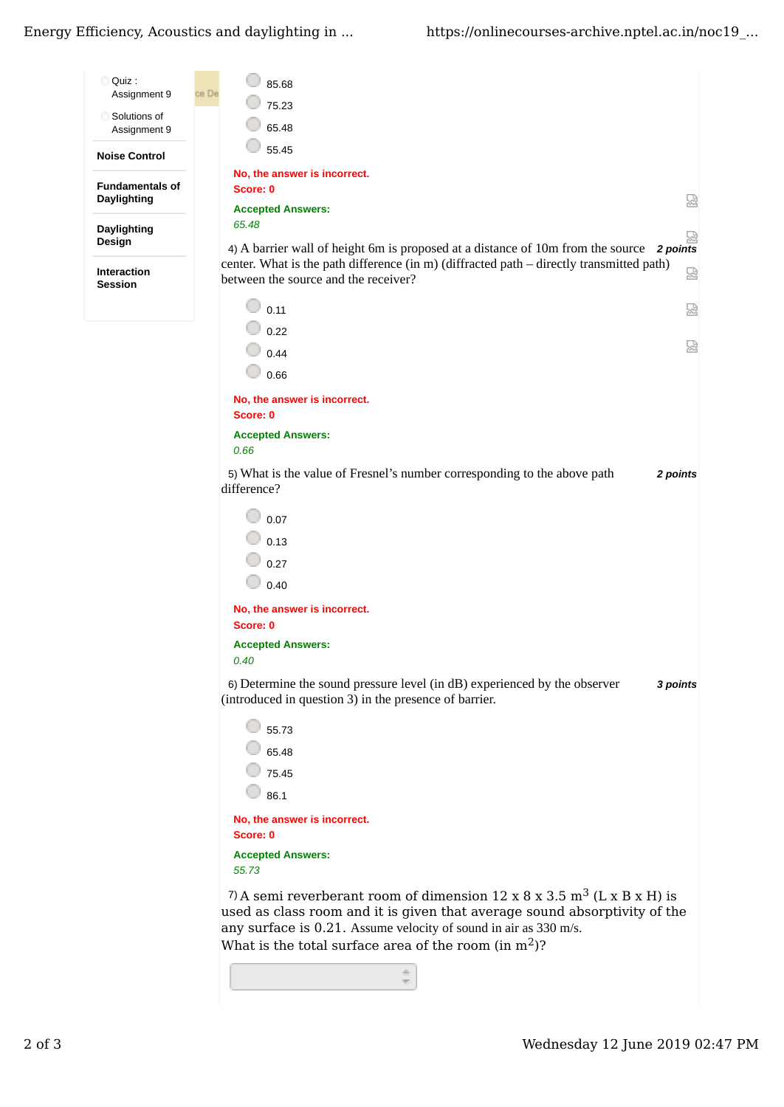Energy Efficiency, Acoustics and daylighting in ...